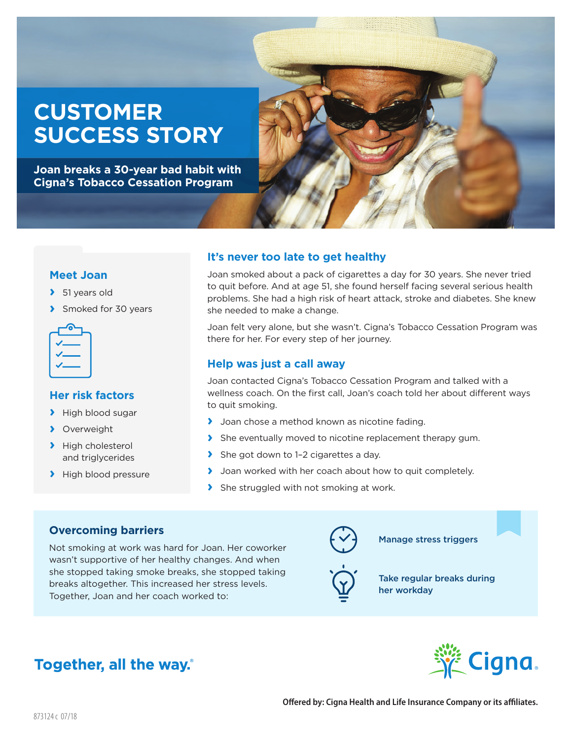# **CUSTOMER SUCCESS STORY**

**Joan breaks a 30-year bad habit with Cigna's Tobacco Cessation Program**



#### **Meet Joan**

- **›** 51 years old
- **›** Smoked for 30 years



#### **Her risk factors**

- **›** High blood sugar
- **›** Overweight
- **›** High cholesterol and triglycerides
- **›** High blood pressure

## **It's never too late to get healthy**

Joan smoked about a pack of cigarettes a day for 30 years. She never tried to quit before. And at age 51, she found herself facing several serious health problems. She had a high risk of heart attack, stroke and diabetes. She knew she needed to make a change.

Joan felt very alone, but she wasn't. Cigna's Tobacco Cessation Program was there for her. For every step of her journey.

#### **Help was just a call away**

Joan contacted Cigna's Tobacco Cessation Program and talked with a wellness coach. On the first call, Joan's coach told her about different ways to quit smoking.

- **›** Joan chose a method known as nicotine fading.
- **›** She eventually moved to nicotine replacement therapy gum.
- **›** She got down to 1–2 cigarettes a day.
- **›** Joan worked with her coach about how to quit completely.
- **›** She struggled with not smoking at work.

## **Overcoming barriers**

Not smoking at work was hard for Joan. Her coworker wasn't supportive of her healthy changes. And when she stopped taking smoke breaks, she stopped taking breaks altogether. This increased her stress levels. Together, Joan and her coach worked to:





her workday

Take regular breaks during

Manage stress triggers